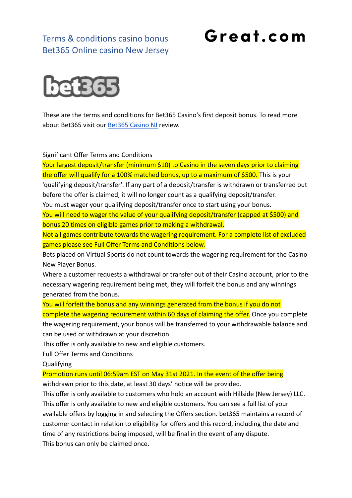## Terms & conditions casino bonus Bet365 Online casino New Jersey

## Great.com



These are the terms and conditions for Bet365 Casino's first deposit bonus. To read more about Bet365 visit our **[Bet365 Casino NJ](https://great.com/en-us/online-casino/bet365-online-casino-nj/)** review.

Significant Offer Terms and Conditions

Your largest deposit/transfer (minimum \$10) to Casino in the seven days prior to claiming the offer will qualify for a 100% matched bonus, up to a maximum of \$500. This is your 'qualifying deposit/transfer'. If any part of a deposit/transfer is withdrawn or transferred out before the offer is claimed, it will no longer count as a qualifying deposit/transfer.

You must wager your qualifying deposit/transfer once to start using your bonus.

You will need to wager the value of your qualifying deposit/transfer (capped at \$500) and bonus 20 times on eligible games prior to making a withdrawal.

Not all games contribute towards the wagering requirement. For a complete list of excluded games please see Full Offer Terms and Conditions below.

Bets placed on Virtual Sports do not count towards the wagering requirement for the Casino New Player Bonus.

Where a customer requests a withdrawal or transfer out of their Casino account, prior to the necessary wagering requirement being met, they will forfeit the bonus and any winnings generated from the bonus.

You will forfeit the bonus and any winnings generated from the bonus if you do not

complete the wagering requirement within 60 days of claiming the offer. Once you complete the wagering requirement, your bonus will be transferred to your withdrawable balance and can be used or withdrawn at your discretion.

This offer is only available to new and eligible customers.

Full Offer Terms and Conditions

Qualifying

Promotion runs until 06:59am EST on May 31st 2021. In the event of the offer being

withdrawn prior to this date, at least 30 days' notice will be provided.

This offer is only available to customers who hold an account with Hillside (New Jersey) LLC. This offer is only available to new and eligible customers. You can see a full list of your available offers by logging in and selecting the Offers section. bet365 maintains a record of customer contact in relation to eligibility for offers and this record, including the date and time of any restrictions being imposed, will be final in the event of any dispute. This bonus can only be claimed once.